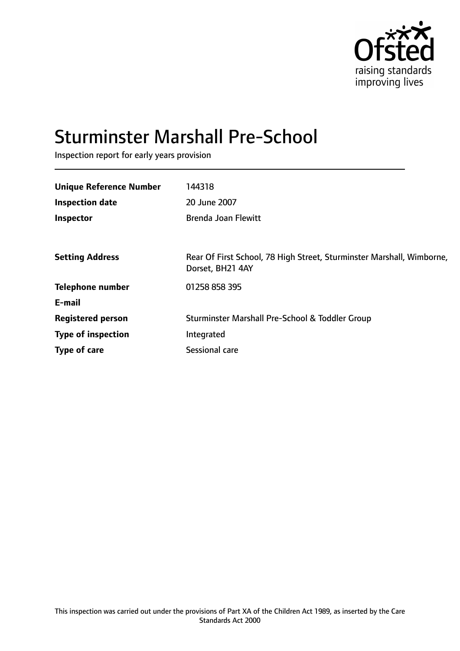

# Sturminster Marshall Pre-School

Inspection report for early years provision

| <b>Unique Reference Number</b> | 144318                                                                                    |
|--------------------------------|-------------------------------------------------------------------------------------------|
| <b>Inspection date</b>         | 20 June 2007                                                                              |
| Inspector                      | <b>Brenda Joan Flewitt</b>                                                                |
|                                |                                                                                           |
| <b>Setting Address</b>         | Rear Of First School, 78 High Street, Sturminster Marshall, Wimborne,<br>Dorset, BH21 4AY |
| <b>Telephone number</b>        | 01258 858 395                                                                             |
| E-mail                         |                                                                                           |
| <b>Registered person</b>       | Sturminster Marshall Pre-School & Toddler Group                                           |
| <b>Type of inspection</b>      | Integrated                                                                                |
| Type of care                   | Sessional care                                                                            |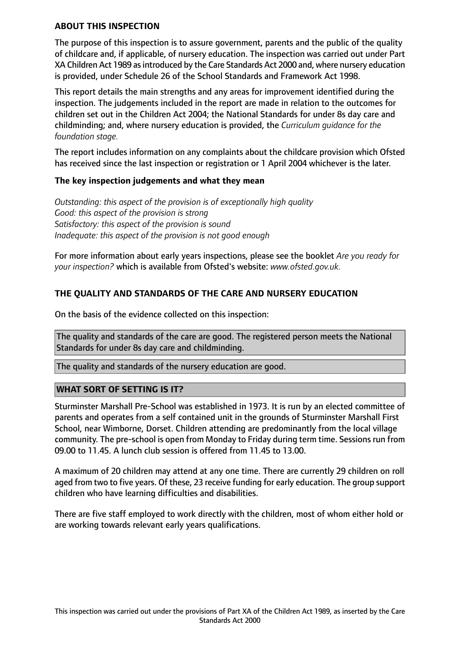#### **ABOUT THIS INSPECTION**

The purpose of this inspection is to assure government, parents and the public of the quality of childcare and, if applicable, of nursery education. The inspection was carried out under Part XA Children Act 1989 as introduced by the Care Standards Act 2000 and, where nursery education is provided, under Schedule 26 of the School Standards and Framework Act 1998.

This report details the main strengths and any areas for improvement identified during the inspection. The judgements included in the report are made in relation to the outcomes for children set out in the Children Act 2004; the National Standards for under 8s day care and childminding; and, where nursery education is provided, the *Curriculum guidance for the foundation stage.*

The report includes information on any complaints about the childcare provision which Ofsted has received since the last inspection or registration or 1 April 2004 whichever is the later.

#### **The key inspection judgements and what they mean**

*Outstanding: this aspect of the provision is of exceptionally high quality Good: this aspect of the provision is strong Satisfactory: this aspect of the provision is sound Inadequate: this aspect of the provision is not good enough*

For more information about early years inspections, please see the booklet *Are you ready for your inspection?* which is available from Ofsted's website: *www.ofsted.gov.uk.*

## **THE QUALITY AND STANDARDS OF THE CARE AND NURSERY EDUCATION**

On the basis of the evidence collected on this inspection:

The quality and standards of the care are good. The registered person meets the National Standards for under 8s day care and childminding.

The quality and standards of the nursery education are good.

#### **WHAT SORT OF SETTING IS IT?**

Sturminster Marshall Pre-School was established in 1973. It is run by an elected committee of parents and operates from a self contained unit in the grounds of Sturminster Marshall First School, near Wimborne, Dorset. Children attending are predominantly from the local village community. The pre-school is open from Monday to Friday during term time. Sessions run from 09.00 to 11.45. A lunch club session is offered from 11.45 to 13.00.

A maximum of 20 children may attend at any one time. There are currently 29 children on roll aged from two to five years. Of these, 23 receive funding for early education. The group support children who have learning difficulties and disabilities.

There are five staff employed to work directly with the children, most of whom either hold or are working towards relevant early years qualifications.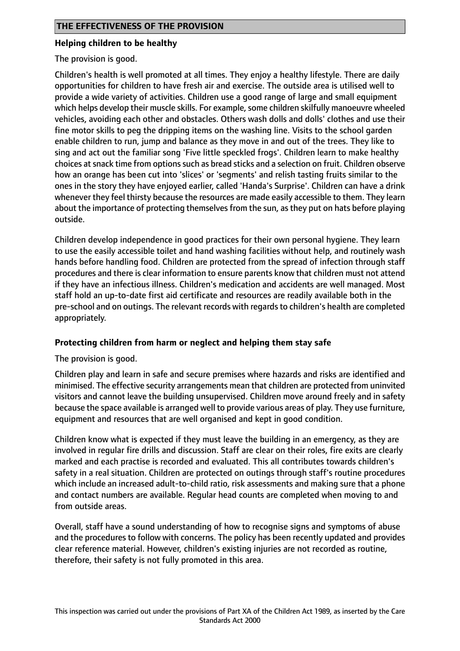#### **Helping children to be healthy**

The provision is good.

Children's health is well promoted at all times. They enjoy a healthy lifestyle. There are daily opportunities for children to have fresh air and exercise. The outside area is utilised well to provide a wide variety of activities. Children use a good range of large and small equipment which helps develop their muscle skills. For example, some children skilfully manoeuvre wheeled vehicles, avoiding each other and obstacles. Others wash dolls and dolls' clothes and use their fine motor skills to peg the dripping items on the washing line. Visits to the school garden enable children to run, jump and balance as they move in and out of the trees. They like to sing and act out the familiar song 'Five little speckled frogs'. Children learn to make healthy choices at snack time from options such as bread sticks and a selection on fruit. Children observe how an orange has been cut into 'slices' or 'segments' and relish tasting fruits similar to the ones in the story they have enjoyed earlier, called 'Handa's Surprise'. Children can have a drink whenever they feel thirsty because the resources are made easily accessible to them. They learn about the importance of protecting themselves from the sun, as they put on hats before playing outside.

Children develop independence in good practices for their own personal hygiene. They learn to use the easily accessible toilet and hand washing facilities without help, and routinely wash hands before handling food. Children are protected from the spread of infection through staff procedures and there is clear information to ensure parents know that children must not attend if they have an infectious illness. Children's medication and accidents are well managed. Most staff hold an up-to-date first aid certificate and resources are readily available both in the pre-school and on outings. The relevant records with regards to children's health are completed appropriately.

#### **Protecting children from harm or neglect and helping them stay safe**

The provision is good.

Children play and learn in safe and secure premises where hazards and risks are identified and minimised. The effective security arrangements mean that children are protected from uninvited visitors and cannot leave the building unsupervised. Children move around freely and in safety because the space available is arranged well to provide various areas of play. They use furniture, equipment and resources that are well organised and kept in good condition.

Children know what is expected if they must leave the building in an emergency, as they are involved in regular fire drills and discussion. Staff are clear on their roles, fire exits are clearly marked and each practise is recorded and evaluated. This all contributes towards children's safety in a real situation. Children are protected on outings through staff's routine procedures which include an increased adult-to-child ratio, risk assessments and making sure that a phone and contact numbers are available. Regular head counts are completed when moving to and from outside areas.

Overall, staff have a sound understanding of how to recognise signs and symptoms of abuse and the procedures to follow with concerns. The policy has been recently updated and provides clear reference material. However, children's existing injuries are not recorded as routine, therefore, their safety is not fully promoted in this area.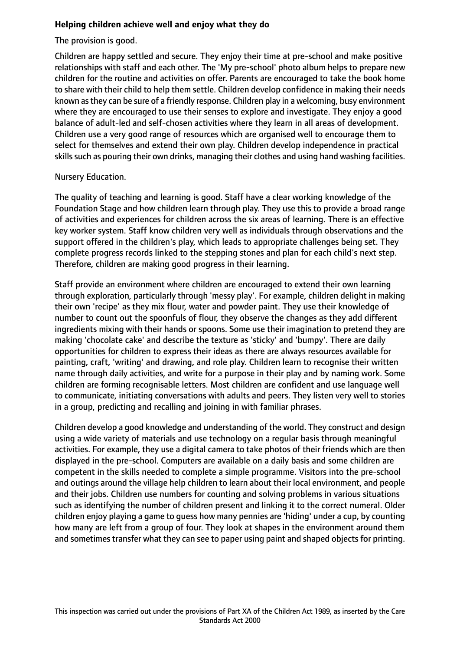## **Helping children achieve well and enjoy what they do**

The provision is good.

Children are happy settled and secure. They enjoy their time at pre-school and make positive relationships with staff and each other. The 'My pre-school' photo album helps to prepare new children for the routine and activities on offer. Parents are encouraged to take the book home to share with their child to help them settle. Children develop confidence in making their needs known asthey can be sure of a friendly response. Children play in a welcoming, busy environment where they are encouraged to use their senses to explore and investigate. They enjoy a good balance of adult-led and self-chosen activities where they learn in all areas of development. Children use a very good range of resources which are organised well to encourage them to select for themselves and extend their own play. Children develop independence in practical skills such as pouring their own drinks, managing their clothes and using hand washing facilities.

#### Nursery Education.

The quality of teaching and learning is good. Staff have a clear working knowledge of the Foundation Stage and how children learn through play. They use this to provide a broad range of activities and experiences for children across the six areas of learning. There is an effective key worker system. Staff know children very well as individuals through observations and the support offered in the children's play, which leads to appropriate challenges being set. They complete progress records linked to the stepping stones and plan for each child's next step. Therefore, children are making good progress in their learning.

Staff provide an environment where children are encouraged to extend their own learning through exploration, particularly through 'messy play'. For example, children delight in making their own 'recipe' as they mix flour, water and powder paint. They use their knowledge of number to count out the spoonfuls of flour, they observe the changes as they add different ingredients mixing with their hands or spoons. Some use their imagination to pretend they are making 'chocolate cake' and describe the texture as 'sticky' and 'bumpy'. There are daily opportunities for children to express their ideas as there are always resources available for painting, craft, 'writing' and drawing, and role play. Children learn to recognise their written name through daily activities, and write for a purpose in their play and by naming work. Some children are forming recognisable letters. Most children are confident and use language well to communicate, initiating conversations with adults and peers. They listen very well to stories in a group, predicting and recalling and joining in with familiar phrases.

Children develop a good knowledge and understanding of the world. They construct and design using a wide variety of materials and use technology on a regular basis through meaningful activities. For example, they use a digital camera to take photos of their friends which are then displayed in the pre-school. Computers are available on a daily basis and some children are competent in the skills needed to complete a simple programme. Visitors into the pre-school and outings around the village help children to learn about their local environment, and people and their jobs. Children use numbers for counting and solving problems in various situations such as identifying the number of children present and linking it to the correct numeral. Older children enjoy playing a game to guess how many pennies are 'hiding' under a cup, by counting how many are left from a group of four. They look at shapes in the environment around them and sometimes transfer what they can see to paper using paint and shaped objects for printing.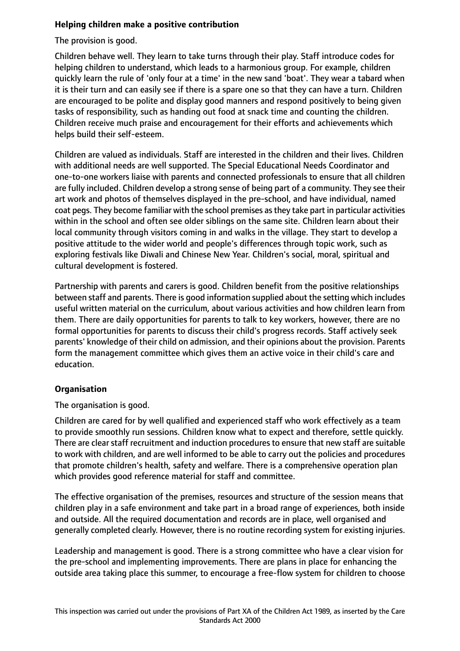## **Helping children make a positive contribution**

The provision is good.

Children behave well. They learn to take turns through their play. Staff introduce codes for helping children to understand, which leads to a harmonious group. For example, children quickly learn the rule of 'only four at a time' in the new sand 'boat'. They wear a tabard when it is their turn and can easily see if there is a spare one so that they can have a turn. Children are encouraged to be polite and display good manners and respond positively to being given tasks of responsibility, such as handing out food at snack time and counting the children. Children receive much praise and encouragement for their efforts and achievements which helps build their self-esteem.

Children are valued as individuals. Staff are interested in the children and their lives. Children with additional needs are well supported. The Special Educational Needs Coordinator and one-to-one workers liaise with parents and connected professionals to ensure that all children are fully included. Children develop a strong sense of being part of a community. They see their art work and photos of themselves displayed in the pre-school, and have individual, named coat pegs. They become familiar with the school premises as they take part in particular activities within in the school and often see older siblings on the same site. Children learn about their local community through visitors coming in and walks in the village. They start to develop a positive attitude to the wider world and people's differences through topic work, such as exploring festivals like Diwali and Chinese New Year. Children's social, moral, spiritual and cultural development is fostered.

Partnership with parents and carers is good. Children benefit from the positive relationships between staff and parents. There is good information supplied about the setting which includes useful written material on the curriculum, about various activities and how children learn from them. There are daily opportunities for parents to talk to key workers, however, there are no formal opportunities for parents to discuss their child's progress records. Staff actively seek parents' knowledge of their child on admission, and their opinions about the provision. Parents form the management committee which gives them an active voice in their child's care and education.

## **Organisation**

The organisation is good.

Children are cared for by well qualified and experienced staff who work effectively as a team to provide smoothly run sessions. Children know what to expect and therefore, settle quickly. There are clear staff recruitment and induction procedures to ensure that new staff are suitable to work with children, and are well informed to be able to carry out the policies and procedures that promote children's health, safety and welfare. There is a comprehensive operation plan which provides good reference material for staff and committee.

The effective organisation of the premises, resources and structure of the session means that children play in a safe environment and take part in a broad range of experiences, both inside and outside. All the required documentation and records are in place, well organised and generally completed clearly. However, there is no routine recording system for existing injuries.

Leadership and management is good. There is a strong committee who have a clear vision for the pre-school and implementing improvements. There are plans in place for enhancing the outside area taking place this summer, to encourage a free-flow system for children to choose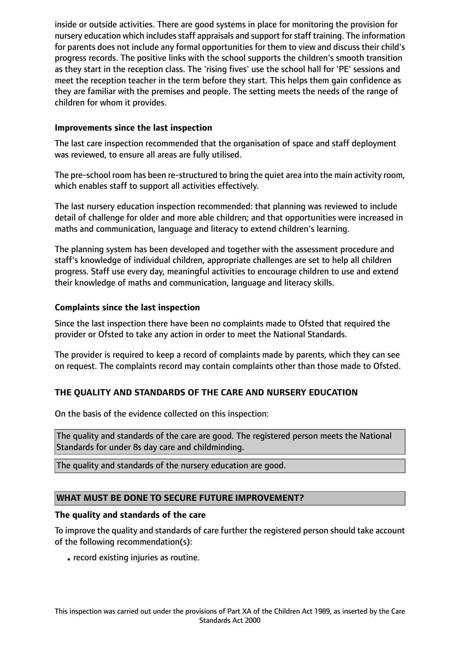inside or outside activities. There are good systems in place for monitoring the provision for nursery education which includes staff appraisals and support for staff training. The information for parents does not include any formal opportunities for them to view and discuss their child's progress records. The positive links with the school supports the children's smooth transition as they start in the reception class. The 'rising fives' use the school hall for 'PE' sessions and meet the reception teacher in the term before they start. This helps them gain confidence as they are familiar with the premises and people. The setting meets the needs of the range of children for whom it provides.

## **Improvements since the last inspection**

The last care inspection recommended that the organisation of space and staff deployment was reviewed, to ensure all areas are fully utilised.

The pre-school room has been re-structured to bring the quiet area into the main activity room, which enables staff to support all activities effectively.

The last nursery education inspection recommended: that planning was reviewed to include detail of challenge for older and more able children; and that opportunities were increased in maths and communication, language and literacy to extend children's learning.

The planning system has been developed and together with the assessment procedure and staff's knowledge of individual children, appropriate challenges are set to help all children progress. Staff use every day, meaningful activities to encourage children to use and extend their knowledge of maths and communication, language and literacy skills.

## **Complaints since the last inspection**

Since the last inspection there have been no complaints made to Ofsted that required the provider or Ofsted to take any action in order to meet the National Standards.

The provider is required to keep a record of complaints made by parents, which they can see on request. The complaints record may contain complaints other than those made to Ofsted.

## **THE QUALITY AND STANDARDS OF THE CARE AND NURSERY EDUCATION**

On the basis of the evidence collected on this inspection:

The quality and standards of the care are good. The registered person meets the National Standards for under 8s day care and childminding.

The quality and standards of the nursery education are good.

#### **WHAT MUST BE DONE TO SECURE FUTURE IMPROVEMENT?**

#### **The quality and standards of the care**

To improve the quality and standards of care further the registered person should take account of the following recommendation(s):

• record existing injuries as routine.